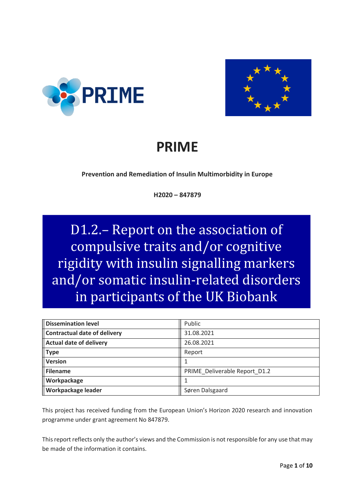



# **PRIME**

**Prevention and Remediation of Insulin Multimorbidity in Europe**

**H2020 – 847879**

D1.2.– Report on the association of compulsive traits and/or cognitive rigidity with insulin signalling markers and/or somatic insulin-related disorders in participants of the UK Biobank

| <b>Dissemination level</b>          | Public                        |
|-------------------------------------|-------------------------------|
| <b>Contractual date of delivery</b> | 31.08.2021                    |
| <b>Actual date of delivery</b>      | 26.08.2021                    |
| <b>Type</b>                         | Report                        |
| Version                             |                               |
| Filename                            | PRIME Deliverable Report D1.2 |
| Workpackage                         |                               |
| <b>Workpackage leader</b>           | Søren Dalsgaard               |

This project has received funding from the European Union's Horizon 2020 research and innovation programme under grant agreement No 847879.

This report reflects only the author's views and the Commission is not responsible for any use that may be made of the information it contains.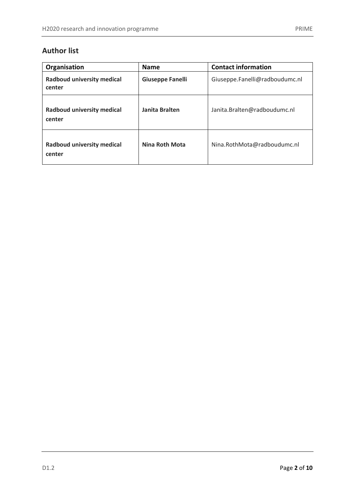## **Author list**

| Organisation                         | <b>Name</b>             | <b>Contact information</b>     |
|--------------------------------------|-------------------------|--------------------------------|
| Radboud university medical<br>center | <b>Giuseppe Fanelli</b> | Giuseppe.Fanelli@radboudumc.nl |
| Radboud university medical<br>center | Janita Bralten          | Janita.Bralten@radboudumc.nl   |
| Radboud university medical<br>center | Nina Roth Mota          | Nina.RothMota@radboudumc.nl    |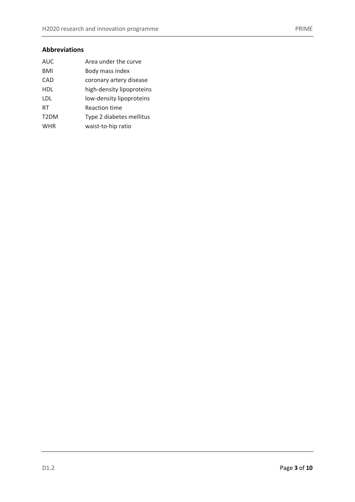## **Abbreviations**

| Area under the curve      |
|---------------------------|
| Body mass index           |
| coronary artery disease   |
| high-density lipoproteins |
| low-density lipoproteins  |
| <b>Reaction time</b>      |
| Type 2 diabetes mellitus  |
| waist-to-hip ratio        |
|                           |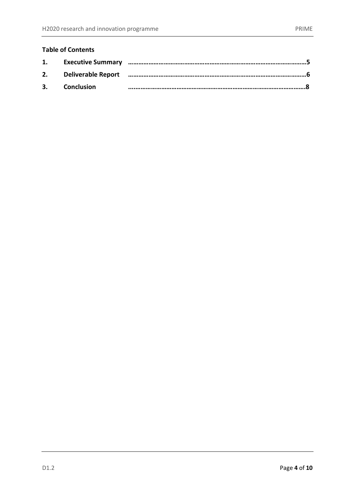## **Table of Contents**

| 1. |               |  |
|----|---------------|--|
| 2. |               |  |
|    | 3. Conclusion |  |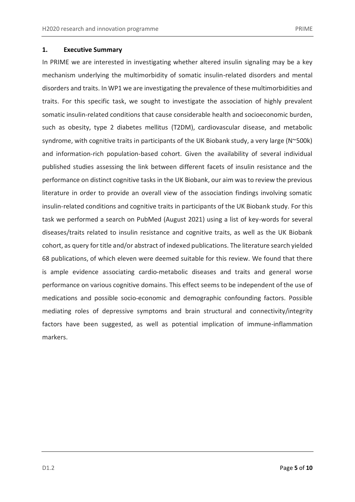#### **1. Executive Summary**

In PRIME we are interested in investigating whether altered insulin signaling may be a key mechanism underlying the multimorbidity of somatic insulin-related disorders and mental disorders and traits. In WP1 we are investigating the prevalence of these multimorbidities and traits. For this specific task, we sought to investigate the association of highly prevalent somatic insulin-related conditions that cause considerable health and socioeconomic burden, such as obesity, type 2 diabetes mellitus (T2DM), cardiovascular disease, and metabolic syndrome, with cognitive traits in participants of the UK Biobank study, a very large (N~500k) and information-rich population-based cohort. Given the availability of several individual published studies assessing the link between different facets of insulin resistance and the performance on distinct cognitive tasks in the UK Biobank, our aim was to review the previous literature in order to provide an overall view of the association findings involving somatic insulin-related conditions and cognitive traits in participants of the UK Biobank study. For this task we performed a search on PubMed (August 2021) using a list of key-words for several diseases/traits related to insulin resistance and cognitive traits, as well as the UK Biobank cohort, as query for title and/or abstract of indexed publications. The literature search yielded 68 publications, of which eleven were deemed suitable for this review. We found that there is ample evidence associating cardio-metabolic diseases and traits and general worse performance on various cognitive domains. This effect seems to be independent of the use of medications and possible socio-economic and demographic confounding factors. Possible mediating roles of depressive symptoms and brain structural and connectivity/integrity factors have been suggested, as well as potential implication of immune-inflammation markers.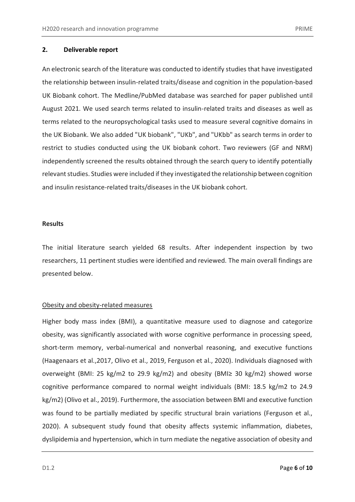#### **2. Deliverable report**

An electronic search of the literature was conducted to identify studies that have investigated the relationship between insulin-related traits/disease and cognition in the population-based UK Biobank cohort. The Medline/PubMed database was searched for paper published until August 2021. We used search terms related to insulin-related traits and diseases as well as terms related to the neuropsychological tasks used to measure several cognitive domains in the UK Biobank. We also added "UK biobank", "UKb", and "UKbb" as search terms in order to restrict to studies conducted using the UK biobank cohort. Two reviewers (GF and NRM) independently screened the results obtained through the search query to identify potentially relevant studies. Studies were included if they investigated the relationship between cognition and insulin resistance-related traits/diseases in the UK biobank cohort.

#### **Results**

The initial literature search yielded 68 results. After independent inspection by two researchers, 11 pertinent studies were identified and reviewed. The main overall findings are presented below.

#### Obesity and obesity-related measures

Higher body mass index (BMI), a quantitative measure used to diagnose and categorize obesity, was significantly associated with worse cognitive performance in processing speed, short-term memory, verbal-numerical and nonverbal reasoning, and executive functions (Haagenaars et al.,2017, Olivo et al., 2019, Ferguson et al., 2020). Individuals diagnosed with overweight (BMI: 25 kg/m2 to 29.9 kg/m2) and obesity (BMI≥ 30 kg/m2) showed worse cognitive performance compared to normal weight individuals (BMI: 18.5 kg/m2 to 24.9 kg/m2) (Olivo et al., 2019). Furthermore, the association between BMI and executive function was found to be partially mediated by specific structural brain variations (Ferguson et al., 2020). A subsequent study found that obesity affects systemic inflammation, diabetes, dyslipidemia and hypertension, which in turn mediate the negative association of obesity and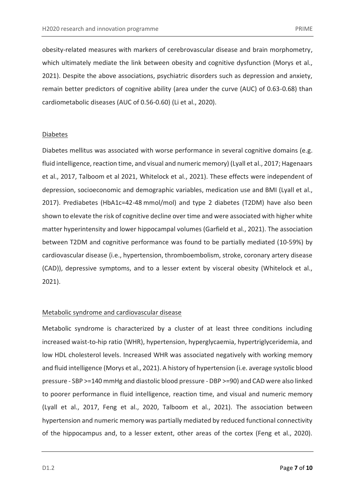obesity-related measures with markers of cerebrovascular disease and brain morphometry, which ultimately mediate the link between obesity and cognitive dysfunction (Morys et al., 2021). Despite the above associations, psychiatric disorders such as depression and anxiety, remain better predictors of cognitive ability (area under the curve (AUC) of 0.63-0.68) than cardiometabolic diseases (AUC of 0.56-0.60) (Li et al., 2020).

#### Diabetes

Diabetes mellitus was associated with worse performance in several cognitive domains (e.g. fluid intelligence, reaction time, and visual and numeric memory) (Lyall et al., 2017; Hagenaars et al., 2017, Talboom et al 2021, Whitelock et al., 2021). These effects were independent of depression, socioeconomic and demographic variables, medication use and BMI [\(Lyall et al.,](https://docs.google.com/document/d/1kG1P-ngJNZX5lCkNjH3OHC2PNUW_Nhrros9fUiAW_kk/edit#heading=h.mennlrwi2772)  [2017\)](https://docs.google.com/document/d/1kG1P-ngJNZX5lCkNjH3OHC2PNUW_Nhrros9fUiAW_kk/edit#heading=h.mennlrwi2772). Prediabetes (HbA1c=42-48 mmol/mol) and type 2 diabetes (T2DM) have also been shown to elevate the risk of cognitive decline over time and were associated with higher white matter hyperintensity and lower hippocampal volumes (Garfield et al., 2021). The association between T2DM and cognitive performance was found to be partially mediated (10-59%) by cardiovascular disease (i.e., hypertension, thromboembolism, stroke, coronary artery disease (CAD)), depressive symptoms, and to a lesser extent by visceral obesity (Whitelock et al., 2021).

#### Metabolic syndrome and cardiovascular disease

Metabolic syndrome is characterized by a cluster of at least three conditions including increased waist-to-hip ratio (WHR), hypertension, hyperglycaemia, hypertriglyceridemia, and low HDL cholesterol levels. Increased WHR was associated negatively with working memory and fluid intelligence (Morys et al., 2021). A history of hypertension (i.e. average systolic blood pressure - SBP >=140 mmHg and diastolic blood pressure - DBP >=90) and CAD were also linked to poorer performance in fluid intelligence, reaction time, and visual and numeric memory (Lyall et al., 2017, Feng et al., 2020, Talboom et al., 2021). The association between hypertension and numeric memory was partially mediated by reduced functional connectivity of the hippocampus and, to a lesser extent, other areas of the cortex (Feng et al., 2020).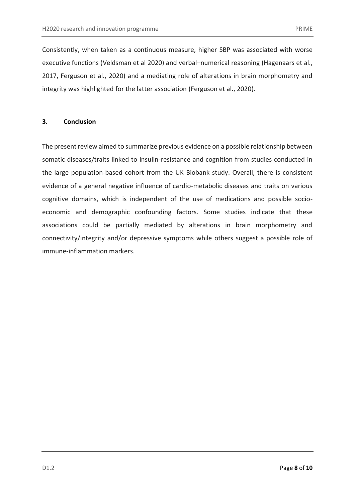Consistently, when taken as a continuous measure, higher SBP was associated with worse executive functions (Veldsman et al 2020) and verbal–numerical reasoning (Hagenaars et al., 2017, Ferguson et al., 2020) and a mediating role of alterations in brain morphometry and integrity was highlighted for the latter association (Ferguson et al., 2020).

#### **3. Conclusion**

The present review aimed to summarize previous evidence on a possible relationship between somatic diseases/traits linked to insulin-resistance and cognition from studies conducted in the large population-based cohort from the UK Biobank study. Overall, there is consistent evidence of a general negative influence of cardio-metabolic diseases and traits on various cognitive domains, which is independent of the use of medications and possible socioeconomic and demographic confounding factors. Some studies indicate that these associations could be partially mediated by alterations in brain morphometry and connectivity/integrity and/or depressive symptoms while others suggest a possible role of immune-inflammation markers.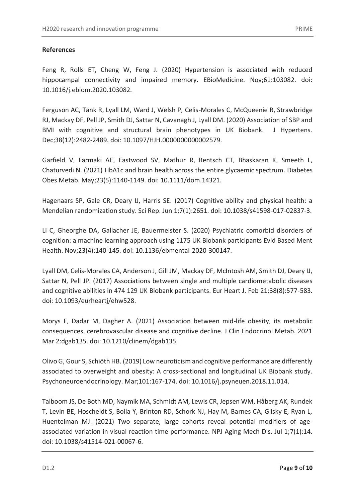### **References**

Feng R, Rolls ET, Cheng W, Feng J. (2020) Hypertension is associated with reduced hippocampal connectivity and impaired memory. EBioMedicine. Nov;61:103082. doi: 10.1016/j.ebiom.2020.103082.

Ferguson AC, Tank R, Lyall LM, Ward J, Welsh P, Celis-Morales C, McQueenie R, Strawbridge RJ, Mackay DF, Pell JP, Smith DJ, Sattar N, Cavanagh J, Lyall DM. (2020) Association of SBP and BMI with cognitive and structural brain phenotypes in UK Biobank. J Hypertens. Dec;38(12):2482-2489. doi: 10.1097/HJH.0000000000002579.

Garfield V, Farmaki AE, Eastwood SV, Mathur R, Rentsch CT, Bhaskaran K, Smeeth L, Chaturvedi N. (2021) HbA1c and brain health across the entire glycaemic spectrum. Diabetes Obes Metab. May;23(5):1140-1149. doi: 10.1111/dom.14321.

Hagenaars SP, Gale CR, Deary IJ, Harris SE. (2017) Cognitive ability and physical health: a Mendelian randomization study. Sci Rep. Jun 1;7(1):2651. doi: 10.1038/s41598-017-02837-3.

Li C, Gheorghe DA, Gallacher JE, Bauermeister S. (2020) Psychiatric comorbid disorders of cognition: a machine learning approach using 1175 UK Biobank participants Evid Based Ment Health. Nov;23(4):140-145. doi: 10.1136/ebmental-2020-300147.

Lyall DM, Celis-Morales CA, Anderson J, Gill JM, Mackay DF, McIntosh AM, Smith DJ, Deary IJ, Sattar N, Pell JP. (2017) Associations between single and multiple cardiometabolic diseases and cognitive abilities in 474 129 UK Biobank participants. Eur Heart J. Feb 21;38(8):577-583. doi: 10.1093/eurheartj/ehw528.

Morys F, Dadar M, Dagher A. (2021) Association between mid-life obesity, its metabolic consequences, cerebrovascular disease and cognitive decline. J Clin Endocrinol Metab. 2021 Mar 2:dgab135. doi: 10.1210/clinem/dgab135.

Olivo G, Gour S, Schiöth HB. (2019) Low neuroticism and cognitive performance are differently associated to overweight and obesity: A cross-sectional and longitudinal UK Biobank study. Psychoneuroendocrinology. Mar;101:167-174. doi: 10.1016/j.psyneuen.2018.11.014.

Talboom JS, De Both MD, Naymik MA, Schmidt AM, Lewis CR, Jepsen WM, Håberg AK, Rundek T, Levin BE, Hoscheidt S, Bolla Y, Brinton RD, Schork NJ, Hay M, Barnes CA, Glisky E, Ryan L, Huentelman MJ. (2021) Two separate, large cohorts reveal potential modifiers of ageassociated variation in visual reaction time performance. NPJ Aging Mech Dis. Jul 1;7(1):14. doi: 10.1038/s41514-021-00067-6.